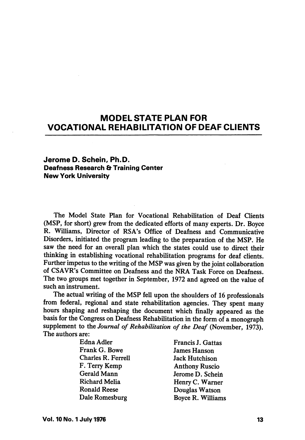# MODEL STATE PLAN FOR VOCATIONAL REHABILITATION OF DEAF CLIENTS

# Jerome D. Schein, Ph.D. Deafness Research & Training Center New York University

The Model State Plan for Vocational Rehabilitation of Deaf Clients (MSP, for short) grew from the dedicated efforts of many experts. Dr. Boyce R. Williams, Director of RSA's Office of Deafness and Communicative Disorders, initiated the program leading to the preparation of the MSP. He saw the need for an overall plan which the states could use to direct their thinking in establishing vocational rehabilitation programs for deaf clients. Further impetus to the writing of the MSP was given by the joint collaboration of CSAVR's Committee on Deafness and the NRA Task Force on Deafness. The two groups met together in September, 1972 and agreed on the value of such an instrument.

The actual writing of the MSP fell upon the shoulders of 16 professionals from federal, regional and state rehabilitation agencies. They spent many hours shaping and reshaping the document which finally appeared as the basis for the Congress on Deafness Rehabilitation in the form of a monograph supplement to the Journal of Rehabilitation of the Deaf (November, 1973). The authors are:

| Edna Adler         | Francis J. Gattas     |
|--------------------|-----------------------|
| Frank G. Bowe      | <b>James Hanson</b>   |
| Charles R. Ferrell | <b>Jack Hutchison</b> |
| F. Terry Kemp      | <b>Anthony Ruscio</b> |
| Gerald Mann        | Jerome D. Schein      |
| Richard Melia      | Henry C. Warner       |
| Ronald Reese       | Douglas Watson        |
| Dale Romesburg     | Boyce R. Williams     |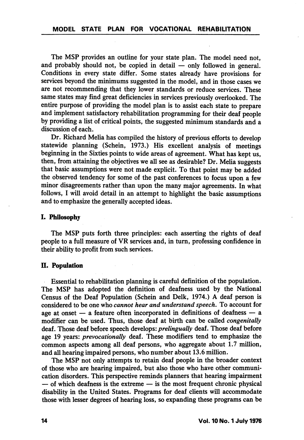The MSP provides an outline for your state plan. The model need not, and probably should not, be copied in detail — only followed in general. Conditions in every state differ. Some states already have provisions for services beyond the minimums suggested in the model, and in those cases we are not recommending that they lower standards or reduce services. These same states may find great deficiencies in services previously overlooked. The entire purpose of providing the model plan is to assist each state to prepare and implement satisfactory rehabilitation programming for their deaf people by providing a list of critical points, the suggested minimum standards and a discussion of each.

Dr. Richard Melia has compiled the history of previous efforts to develop statewide planning (Schein, 1973.) His excellent analysis of meetings beginning in the Sixties points to wide areas of agreement. What has kept us, then, from attaining the objectives we all see as desirable? Dr. Melia suggests that basic assumptions were not made explicit. To that point may be added the observed tendency for some of the past conferences to focus upon a few minor disagreements rather than upon the many major agreements. In what follows, I will avoid detail in an attempt to highlight the basic assumptions and to emphasize the generally accepted ideas.

#### I. Philosophy

The MSP puts forth three principles: each asserting the rights of deaf people to a full measure of VR services and, in turn, professing confidence in their ability to profit from such services.

#### II. Population

Essential to rehabilitation planning is careful definition of the population. The MSP has adopted the definition of deafness used by the National Census of the Deaf Population (Schein and Delk, 1974.) A deaf person is considered to be one who cannot hear and understand speech. To account for age at onset — a feature often incorporated in definitions of deafness — a modifier can be used. Thus, those deaf at birth can be called congenitally deaf. Those deaf before speech develops: prelingually deaf. Those deaf before age 19 years: *prevocationally* deaf. These modifiers tend to emphasize the common aspects among all deaf persons, who aggregate about 1.7 million, and all hearing impaired persons, who number about 13.6 million.

The MSP not only attempts to retain deaf people in the broader context of those who are hearing impaired, but also those who have other communi cation disorders. This perspective reminds planners that hearing impairment — of which deafness is the extreme — is the most frequent chronic physical disability in the United States. Programs for deaf clients will accommodate those with lesser degrees of hearing loss, so expanding these programs can be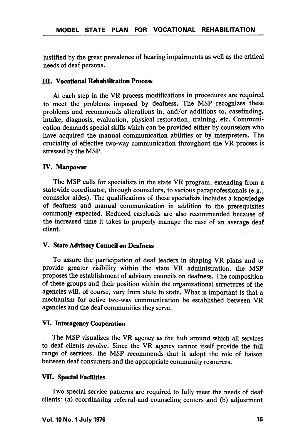justified by the great prevalence of hearing impairments as well as the critical needs of deaf persons.

### **III. Vocational Rehabilitation Process**

At each step in the VR process modifications in procedures are required to meet the problems imposed by deafness. The MSP recognizes these problems and recommends alterations in, and/or additions to, casefinding, intake, diagnosis, evaluation, physical restoration, training, etc. Communi cation demands special skills which can be provided either by counselors who have acquired the manual communication abilities or by interpreters. The cruciality of effective two-way communication throughout the VR process is stressed by the MSP.

#### IV. Manpower

The MSP calls for specialists in the state VR program, extending from a statewide coordinator, through counselors, to various paraprofessionals (e.g., counselor aides). The qualifications of these specialists includes a knowledge of deafness and manual communication in addition to the prerequisites commonly expected. Reduced caseloads are also recommended because of the increased time it takes to properly manage the case of an average deaf client.

## V. State Advisory Council on Deafness

To assure the participation of deaf leaders in shaping VR plans and to provide greater visibility within the state VR administration, the MSP proposes the establishment of advisory councils on deafness. The composition of these groups and their position within the organizational structures of the agencies will, of course, vary from state to state. What is important is that a mechanism for active two-way communication be established between VR agencies and the deaf communities they serve.

#### VI. Interagency Cooperation

The MSP visualizes the VR agency as the hub around which all services to deaf clients revolve. Since the VR agency cannot itself provide the full range of services, the MSP recommends that it adopt the role of liaison between deaf consumers and the appropriate community resources.

#### VII. Special Facilities

Two special service patterns are required to fully meet the needs of deaf clients: (a) coordinating referral-and-counseling centers and (b) adjustment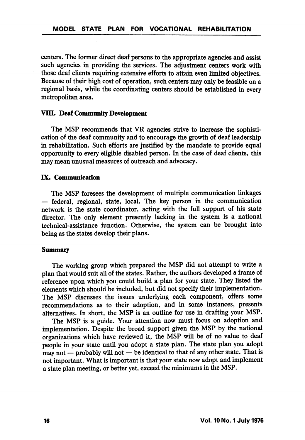centers. The former direct deaf persons to the appropriate agencies and assist such agencies in providing the services. The adjustment centers work with those deaf clients requiring extensive efforts to attain even limited objectives. Because of their high cost of operation, such centers may only be feasible on a regional basis, while the coordinating centers should be established in every metropolitan area.

#### VIII. Deaf Community Development

The MSP recommends that VR agencies strive to increase the sophisti cation of the deaf community and to encourage the growth of deaf leadership in rehabilitation. Such efforts are justified by the mandate to provide equal opportunity to every eligible disabled person. In the case of deaf clients, this may mean unusual measures of outreach and advocacy.

#### IX. Communication

The MSP foresees the development of multiple communication linkages — federal, regional, state, local. The key person in the communication network is the state coordinator, acting with the full support of his state director. The only element presently lacking in the system is a national technical-assistance function. Otherwise, the system can be brought into being as the states develop their plans.

#### Summary

The working group which prepared the MSP did not attempt to write a plan that would suit all of the states. Rather, the authors developed a frame of reference upon which you could build a plan for your state. They listed the elements which should be included, but did not specify their implementation. The MSP discusses the issues underlying each component, offers some recommendations as to their adoption, and in some instances, presents alternatives. In short, the MSP is an outline for use in drafting your MSP.

The MSP is a guide. Your attention now must focus on adoption and implementation. Despite the broad support given the MSP by the national organizations which have reviewed it, the MSP will be of no value to deaf people in your state until you adopt a state plan. The state plan you adopt may not — probably will not — be identical to that of any other state. That is not important. What is important is that your state now adopt and implement a state plan meeting, or better yet, exceed the minimums in the MSP.